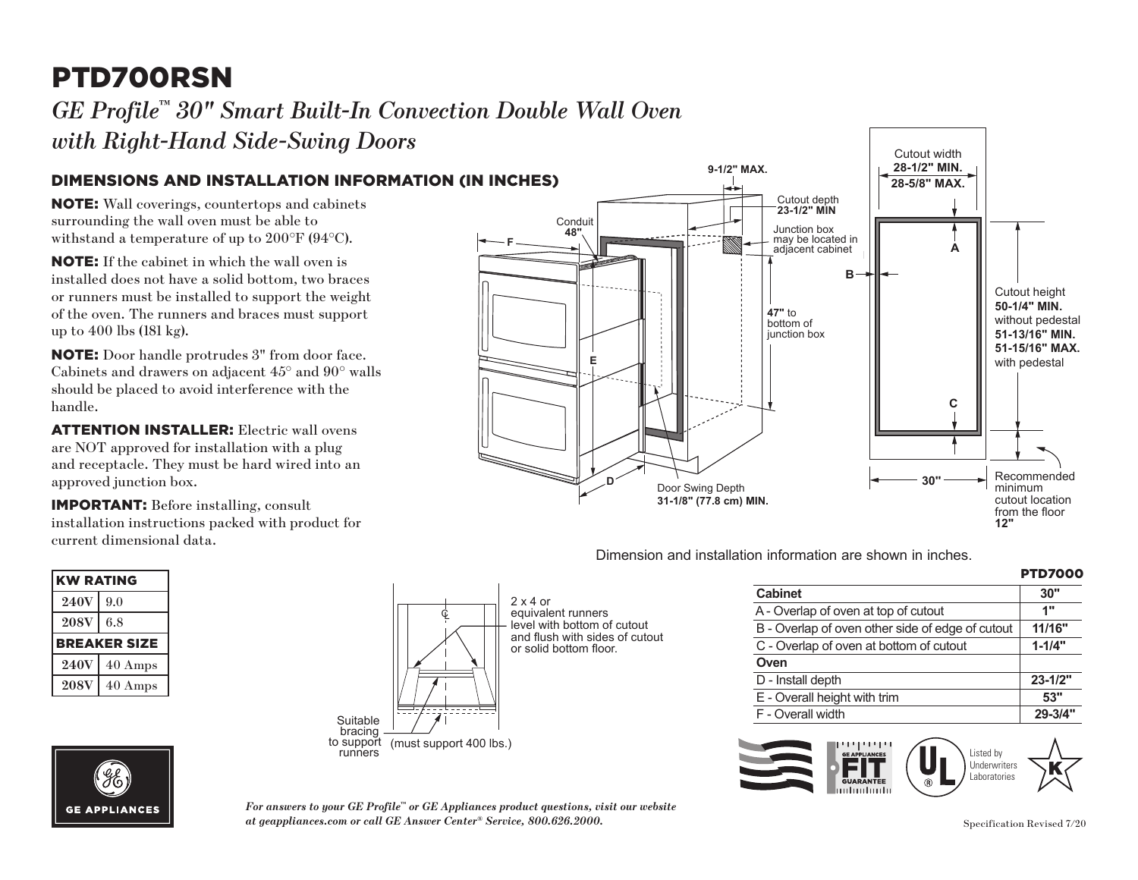# PTD700RSN

### **GE Profile™ 30" Smart Built-In Convection Double Wall Oven ∕** *with Right-Hand Side-Swing Doors* Vall Oven

#### DIMENSIONS AND INSTALLATION INFORMATION (IN INCHES)

NOTE: Wall coverings, countertops and cabinets surrounding the wall oven must be able to withstand a temperature of up to 200°F (94°C).

**E**: If the cabinet in which the wan oven is<br>installed does not have a solid bottom, two braces NOTE: If the cabinet in which the wall oven is or runners must be installed to support the weight of the oven. The runners and braces must support up to 400 lbs (181 kg).

NOTE: Door handle protrudes 3" from door face. Cabinets and drawers on adjacent 45° and 90° walls should be placed to avoid interference with the handle.

are NOT approved for installation with a plug ATTENTION INSTALLER: Electric wall ovens and receptacle. They must be hard wired into an approved junction box.

installation instructions packed with product for current dimensional data. IMPORTANT: Before installing, consult

| <b>KW RATING</b>    |         |
|---------------------|---------|
| <b>240V</b>         | 9.0     |
| <b>208V</b>         | 6.8     |
| <b>BREAKER SIZE</b> |         |
| <b>240V</b>         | 40 Amps |
| <b>208V</b>         | 40 Amps |



 $2 \times 4$  or  $\epsilon$ equivalent runners<br>
equivalent runners level with bottom of cutout and flush with sides of cutout or solid bottom floor.

**47"** to

#### $E = 1$ **48" 47** junction box bottom of  $\mathbb{R}$ junction box **Junction box B A C** Cutout height **50-1/4" MIN. 50-1/4" MIN. 51-13/16" MIN. 50 mmmmm**<br>without pedestal **51-13/16" MIN.** with pedestal **50-1/4" MIN. 51-15/16" MAX. 51-15/16 MILLER**<br>with pedestal Recommended minimum **12" N** Cutout location from the floor **12" 30''** adjacent cabinet  $\overline{\mathbf{u}}$ adjacent cabinet  $\begin{array}{|c|c|c|c|c|}\n\hline\n\text{Conduit} & \text{if } \mathcal{A} & \text{if } \mathcal{A} & \text{if } \mathcal{A} & \text{if } \mathcal{A} & \text{if } \mathcal{A} & \text{if } \mathcal{A} & \text{if } \mathcal{A} & \text{if } \mathcal{A} & \text{if } \mathcal{A} & \text{if } \mathcal{A} & \text{if } \mathcal{A} & \text{if } \mathcal{A} & \text{if } \mathcal{A} & \text{if } \mathcal{A} & \text{if } \mathcal{A} & \text{if } \mathcal{A}$ income de la provincia de la provincia de la provincia de la provincia de la provincia de la provincia de la p<br>De la provincia de la provincia de la provincia de la provincia de la provincia de la provincia de la provinci  $\uparrow$  iii Recommended  $\mathsf{c}$   $\parallel$ cutout location  $f\rightarrow f$ Door Swing Depth **31-1/8" (77.8 cm) MIN. JTD3000SNSS, JTD5000BNTS, JTD5000DNBB, F 48" 47"** to bottom of **B E D** Cutout height sulout neight Recommended minimum  $\overline{\phantom{a}}$  $\perp$  may be located in Door Swing Depth **31-1/8" (77.8 cm) MIN. JTD3000SNSS, JTD5000BNTS, JTD5000DNBB,**  Conduit **48" 47"** to bottom of junction box **C 1** with pedestal  $\blacksquare$ may be located in adjacent cabinet

**Cutoue 123-1/2" MIN** 

Cutout depth

**9-1/2" MAX.**

**9-1/2" MAX.**

**9-1/2" MAX.**

Dimension and installation information are shown in inches. **JTD3000.**<br> $\overline{a}$ **PTD7000SNSS, PTD700LSNSS, PTD700RSNSS**

| <b>PTD7000</b> |
|----------------|
| 30"            |
| 1"             |
| 11/16"         |
| $1 - 1/4"$     |
|                |
| $23 - 1/2"$    |
| 53"            |
| 29-3/4"        |
|                |

Cutout width Cutout width **28-1/2" MIN. 50-1/4" MIN. 28-5/8" MAX.** 

20-310 **MINA 28-5/8" MAX.**

**28-1/2" MIN.**

Cutout height

**51-13/16" MIN. 51-15/16" MAX.**





*For answers to your GE Profile™ or GE Appliances product questions, visit our website at geappliances.com or call GE Answer Center® Service, 800.626.2000.* Specification Revised 7/20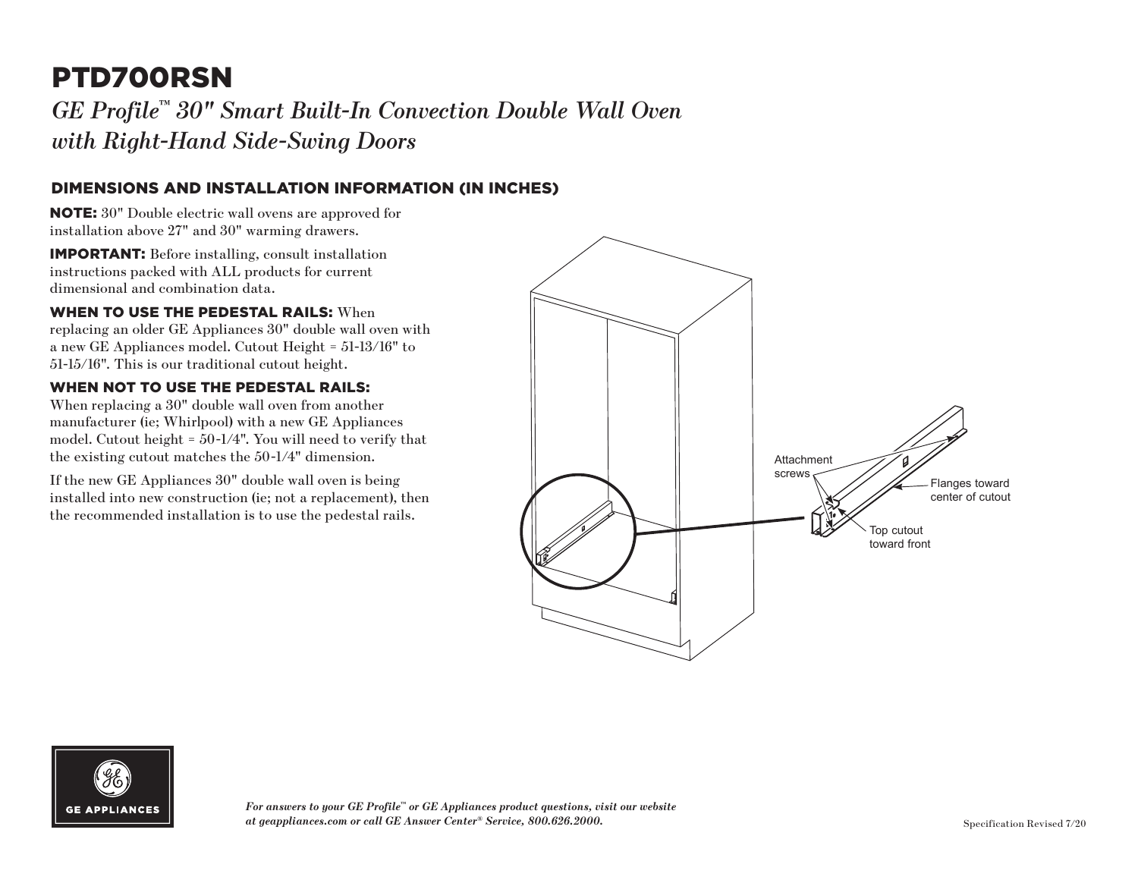## PTD700RSN

*GE Profile™ 30" Smart Built-In Convection Double Wall Oven with Right-Hand Side-Swing Doors*

#### DIMENSIONS AND INSTALLATION INFORMATION (IN INCHES)

NOTE: 30" Double electric wall ovens are approved for installation above 27" and 30" warming drawers.

IMPORTANT: Before installing, consult installation instructions packed with ALL products for current dimensional and combination data.

WHEN TO USE THE PEDESTAL RAILS: When replacing an older GE Appliances 30" double wall oven with a new GE Appliances model. Cutout Height = 51-13/16" to 51-15/16". This is our traditional cutout height.

#### WHEN NOT TO USE THE PEDESTAL RAILS:

When replacing a 30" double wall oven from another manufacturer (ie; Whirlpool) with a new GE Appliances model. Cutout height = 50-1/4". You will need to verify that the existing cutout matches the 50-1/4" dimension.

If the new GE Appliances 30" double wall oven is being installed into new construction (ie; not a replacement), then the recommended installation is to use the pedestal rails.